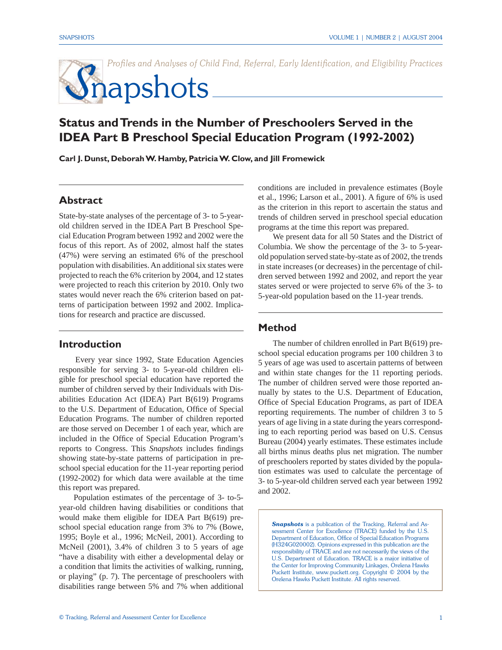Profiles and Analyses of Child Find, Referral, Early Identification, and Eligibility Practices

# **S**napshots

## **Status and Trends in the Number of Preschoolers Served in the IDEA Part B Preschool Special Education Program (1992-2002)**

**Carl J. Dunst, Deborah W. Hamby, Patricia W. Clow, and Jill Fromewick**

## **Abstract**

State-by-state analyses of the percentage of 3- to 5-yearold children served in the IDEA Part B Preschool Special Education Program between 1992 and 2002 were the focus of this report. As of 2002, almost half the states (47%) were serving an estimated 6% of the preschool population with disabilities. An additional six states were projected to reach the 6% criterion by 2004, and 12 states were projected to reach this criterion by 2010. Only two states would never reach the 6% criterion based on patterns of participation between 1992 and 2002. Implications for research and practice are discussed.

#### **Introduction**

Every year since 1992, State Education Agencies responsible for serving 3- to 5-year-old children eligible for preschool special education have reported the number of children served by their Individuals with Disabilities Education Act (IDEA) Part B(619) Programs to the U.S. Department of Education, Office of Special Education Programs. The number of children reported are those served on December 1 of each year, which are included in the Office of Special Education Program's reports to Congress. This *Snapshots* includes findings showing state-by-state patterns of participation in preschool special education for the 11-year reporting period (1992-2002) for which data were available at the time this report was prepared.

 Population estimates of the percentage of 3- to-5 year-old children having disabilities or conditions that would make them eligible for IDEA Part B(619) preschool special education range from 3% to 7% (Bowe, 1995; Boyle et al., 1996; McNeil, 2001). According to McNeil (2001), 3.4% of children 3 to 5 years of age "have a disability with either a developmental delay or a condition that limits the activities of walking, running, or playing" (p. 7). The percentage of preschoolers with disabilities range between 5% and 7% when additional

conditions are included in prevalence estimates (Boyle et al., 1996; Larson et al., 2001). A figure of 6% is used as the criterion in this report to ascertain the status and trends of children served in preschool special education programs at the time this report was prepared.

 We present data for all 50 States and the District of Columbia. We show the percentage of the 3- to 5-yearold population served state-by-state as of 2002, the trends in state increases (or decreases) in the percentage of children served between 1992 and 2002, and report the year states served or were projected to serve 6% of the 3- to 5-year-old population based on the 11-year trends.

#### **Method**

The number of children enrolled in Part B(619) preschool special education programs per 100 children 3 to 5 years of age was used to ascertain patterns of between and within state changes for the 11 reporting periods. The number of children served were those reported annually by states to the U.S. Department of Education, Office of Special Education Programs, as part of IDEA reporting requirements. The number of children 3 to 5 years of age living in a state during the years corresponding to each reporting period was based on U.S. Census Bureau (2004) yearly estimates. These estimates include all births minus deaths plus net migration. The number of preschoolers reported by states divided by the population estimates was used to calculate the percentage of 3- to 5-year-old children served each year between 1992 and 2002.

**Snapshots** is a publication of the Tracking, Referral and Assessment Center for Excellence (TRACE) funded by the U.S. Department of Education, Office of Special Education Programs (H324G020002). Opinions expressed in this publication are the responsibility of TRACE and are not necessarily the views of the U.S. Department of Education. TRACE is a major initiative of the Center for Improving Community Linkages, Orelena Hawks Puckett Institute, www.puckett.org. Copyright © 2004 by the Orelena Hawks Puckett Institute. All rights reserved.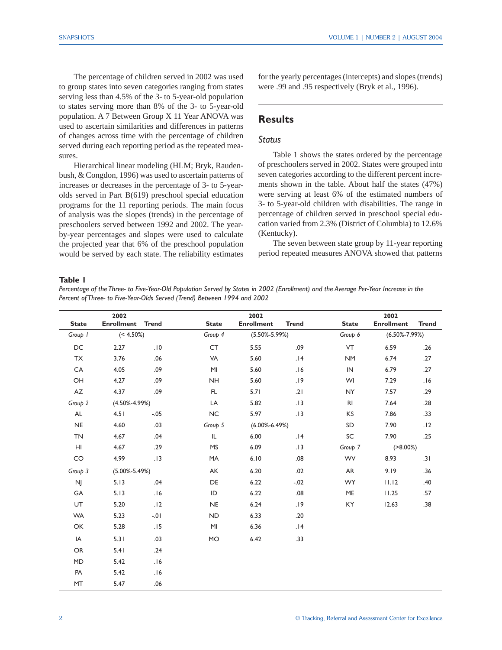The percentage of children served in 2002 was used to group states into seven categories ranging from states serving less than 4.5% of the 3- to 5-year-old population to states serving more than 8% of the 3- to 5-year-old population. A 7 Between Group X 11 Year ANOVA was used to ascertain similarities and differences in patterns of changes across time with the percentage of children served during each reporting period as the repeated measures.

Hierarchical linear modeling (HLM; Bryk, Raudenbush, & Congdon, 1996) was used to ascertain patterns of increases or decreases in the percentage of 3- to 5-yearolds served in Part B(619) preschool special education programs for the 11 reporting periods. The main focus of analysis was the slopes (trends) in the percentage of preschoolers served between 1992 and 2002. The yearby-year percentages and slopes were used to calculate the projected year that 6% of the preschool population would be served by each state. The reliability estimates for the yearly percentages (intercepts) and slopes (trends) were .99 and .95 respectively (Bryk et al., 1996).

## **Results**

## *Status*

 Table 1 shows the states ordered by the percentage of preschoolers served in 2002. States were grouped into seven categories according to the different percent increments shown in the table. About half the states (47%) were serving at least 6% of the estimated numbers of 3- to 5-year-old children with disabilities. The range in percentage of children served in preschool special education varied from 2.3% (District of Columbia) to 12.6% (Kentucky).

 The seven between state group by 11-year reporting period repeated measures ANOVA showed that patterns

#### **Table 1**

*Percentage of the Three- to Five-Year-Old Population Served by States in 2002 (Enrollment) and the Average Per-Year Increase in the Percent of Three- to Five-Year-Olds Served (Trend) Between 1994 and 2002*

|              | 2002                |         |              | 2002                |              |                | 2002                |              |
|--------------|---------------------|---------|--------------|---------------------|--------------|----------------|---------------------|--------------|
| <b>State</b> | Enrollment Trend    |         | <b>State</b> | <b>Enrollment</b>   | <b>Trend</b> | <b>State</b>   | <b>Enrollment</b>   | <b>Trend</b> |
| Group 1      | $(< 4.50\%)$        |         | Group 4      | $(5.50\% - 5.99\%)$ |              | Group 6        | $(6.50\% - 7.99\%)$ |              |
| DC           | 2.27                | .10     | CT           | 5.55                | .09          | VT             | 6.59                | .26          |
| <b>TX</b>    | 3.76                | .06     | VA           | 5.60                | .14          | <b>NM</b>      | 6.74                | .27          |
| CA           | 4.05                | .09     | MI           | 5.60                | .16          | IN             | 6.79                | .27          |
| OH           | 4.27                | .09     | <b>NH</b>    | 5.60                | .19          | WI             | 7.29                | .16          |
| AZ           | 4.37                | .09     | FL.          | 5.71                | .21          | <b>NY</b>      | 7.57                | .29          |
| Group 2      | $(4.50\% - 4.99\%)$ |         | LA           | 5.82                | .13          | R <sub>l</sub> | 7.64                | .28          |
| AL           | 4.51                | $-.05$  | <b>NC</b>    | 5.97                | .13          | KS             | 7.86                | .33          |
| NE           | 4.60                | .03     | Group 5      | $(6.00\% - 6.49\%)$ |              | SD             | 7.90                | .12          |
| <b>TN</b>    | 4.67                | .04     | IL.          | 6.00                | .14          | SC             | 7.90                | .25          |
| HI           | 4.67                | .29     | <b>MS</b>    | 6.09<br>.13         |              | Group 7        | $( > 8.00\%)$       |              |
| CO           | 4.99                | .13     | MA           | 6.10                | .08          | <b>WV</b>      | 8.93                | .31          |
| Group 3      | $(5.00\% - 5.49\%)$ |         | AK           | 6.20                | .02          | AR             | 9.19                | .36          |
| NJ           | 5.13                | .04     | DE           | 6.22                | $-0.02$      | <b>WY</b>      | 11.12               | .40          |
| GA           | 5.13                | .16     | ID           | 6.22                | .08          | ME             | 11.25               | .57          |
| UT           | 5.20                | .12     | <b>NE</b>    | 6.24                | .19          | KY             | 12.63               | .38          |
| <b>WA</b>    | 5.23                | $-0.01$ | <b>ND</b>    | 6.33                | .20          |                |                     |              |
| OK           | 5.28                | .15     | MI           | 6.36                | .14          |                |                     |              |
| IA           | 5.31                | .03     | <b>MO</b>    | 6.42                | .33          |                |                     |              |
| <b>OR</b>    | 5.41                | .24     |              |                     |              |                |                     |              |
| MD           | 5.42                | .16     |              |                     |              |                |                     |              |
| PA           | 5.42                | .16     |              |                     |              |                |                     |              |
| MT           | 5.47                | .06     |              |                     |              |                |                     |              |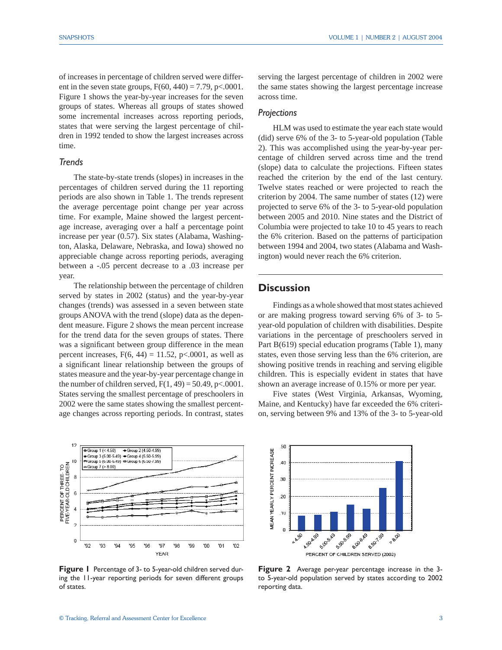of increases in percentage of children served were different in the seven state groups,  $F(60, 440) = 7.79$ , p<.0001. Figure 1 shows the year-by-year increases for the seven groups of states. Whereas all groups of states showed some incremental increases across reporting periods, states that were serving the largest percentage of children in 1992 tended to show the largest increases across time.

#### *Trends*

 The state-by-state trends (slopes) in increases in the percentages of children served during the 11 reporting periods are also shown in Table 1. The trends represent the average percentage point change per year across time. For example, Maine showed the largest percentage increase, averaging over a half a percentage point increase per year (0.57). Six states (Alabama, Washington, Alaska, Delaware, Nebraska, and Iowa) showed no appreciable change across reporting periods, averaging between a -.05 percent decrease to a .03 increase per year.

 The relationship between the percentage of children served by states in 2002 (status) and the year-by-year changes (trends) was assessed in a seven between state groups ANOVA with the trend (slope) data as the dependent measure. Figure 2 shows the mean percent increase for the trend data for the seven groups of states. There was a significant between group difference in the mean percent increases,  $F(6, 44) = 11.52$ , p<.0001, as well as a significant linear relationship between the groups of states measure and the year-by-year percentage change in the number of children served,  $F(1, 49) = 50.49$ , p<.0001. States serving the smallest percentage of preschoolers in 2002 were the same states showing the smallest percentage changes across reporting periods. In contrast, states



**Figure 1** Percentage of 3- to 5-year-old children served during the 11-year reporting periods for seven different groups of states.

serving the largest percentage of children in 2002 were the same states showing the largest percentage increase across time.

#### *Projections*

 HLM was used to estimate the year each state would (did) serve 6% of the 3- to 5-year-old population (Table 2). This was accomplished using the year-by-year percentage of children served across time and the trend (slope) data to calculate the projections. Fifteen states reached the criterion by the end of the last century. Twelve states reached or were projected to reach the criterion by 2004. The same number of states (12) were projected to serve 6% of the 3- to 5-year-old population between 2005 and 2010. Nine states and the District of Columbia were projected to take 10 to 45 years to reach the 6% criterion. Based on the patterns of participation between 1994 and 2004, two states (Alabama and Washington) would never reach the 6% criterion.

### **Discussion**

 Findings as a whole showed that most states achieved or are making progress toward serving 6% of 3- to 5 year-old population of children with disabilities. Despite variations in the percentage of preschoolers served in Part B(619) special education programs (Table 1), many states, even those serving less than the 6% criterion, are showing positive trends in reaching and serving eligible children. This is especially evident in states that have shown an average increase of 0.15% or more per year.

 Five states (West Virginia, Arkansas, Wyoming, Maine, and Kentucky) have far exceeded the 6% criterion, serving between 9% and 13% of the 3- to 5-year-old



**Figure 2** Average per-year percentage increase in the 3 to 5-year-old population served by states according to 2002 reporting data.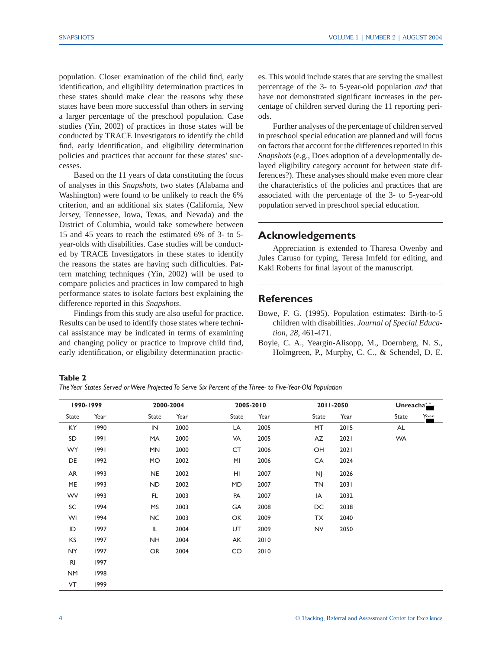population. Closer examination of the child find, early identification, and eligibility determination practices in these states should make clear the reasons why these states have been more successful than others in serving a larger percentage of the preschool population. Case studies (Yin, 2002) of practices in those states will be conducted by TRACE Investigators to identify the child find, early identification, and eligibility determination policies and practices that account for these states' successes.

 Based on the 11 years of data constituting the focus of analyses in this *Snapshots*, two states (Alabama and Washington) were found to be unlikely to reach the 6% criterion, and an additional six states (California, New Jersey, Tennessee, Iowa, Texas, and Nevada) and the District of Columbia, would take somewhere between 15 and 45 years to reach the estimated 6% of 3- to 5 year-olds with disabilities. Case studies will be conducted by TRACE Investigators in these states to identify the reasons the states are having such difficulties. Pattern matching techniques (Yin, 2002) will be used to compare policies and practices in low compared to high performance states to isolate factors best explaining the difference reported in this *Snapshots*.

 Findings from this study are also useful for practice. Results can be used to identify those states where technical assistance may be indicated in terms of examining and changing policy or practice to improve child find, early identification, or eligibility determination practices. This would include states that are serving the smallest percentage of the 3- to 5-year-old population *and* that have not demonstrated significant increases in the percentage of children served during the 11 reporting periods.

 Further analyses of the percentage of children served in preschool special education are planned and will focus on factors that account for the differences reported in this *Snapshots* (e.g., Does adoption of a developmentally delayed eligibility category account for between state differences?). These analyses should make even more clear the characteristics of the policies and practices that are associated with the percentage of the 3- to 5-year-old population served in preschool special education.

## **Acknowledgements**

 Appreciation is extended to Tharesa Owenby and Jules Caruso for typing, Teresa Imfeld for editing, and Kaki Roberts for final layout of the manuscript.

## **References**

- Bowe, F. G. (1995). Population estimates: Birth-to-5 children with disabilities. *Journal of Special Education, 28*, 461-471.
- Boyle, C. A., Yeargin-Alisopp, M., Doernberg, N. S., Holmgreen, P., Murphy, C. C., & Schendel, D. E.

**Table 2** 

*The Year States Served or Were Projected To Serve Six Percent of the Three- to Five-Year-Old Population*

| 1990-1999      |      |           | 2000-2004 |       | 2005-2010 |           | 2011-2050 |           | Unreacha <sup>1</sup> |  |
|----------------|------|-----------|-----------|-------|-----------|-----------|-----------|-----------|-----------------------|--|
| State          | Year | State     | Year      | State | Year      | State     | Year      | State     | Yonr                  |  |
| KY             | 1990 | IN        | 2000      | LA    | 2005      | MT        | 2015      | AL        |                       |  |
| SD             | 1991 | MA        | 2000      | VA    | 2005      | AZ        | 2021      | <b>WA</b> |                       |  |
| <b>WY</b>      | 1991 | <b>MN</b> | 2000      | CT    | 2006      | OH        | 2021      |           |                       |  |
| DE             | 1992 | <b>MO</b> | 2002      | MI    | 2006      | CA        | 2024      |           |                       |  |
| AR             | 1993 | <b>NE</b> | 2002      | HI    | 2007      | <b>NJ</b> | 2026      |           |                       |  |
| ME             | 1993 | <b>ND</b> | 2002      | MD    | 2007      | TN        | 2031      |           |                       |  |
| WV             | 1993 | FL.       | 2003      | PA    | 2007      | IA        | 2032      |           |                       |  |
| SC             | 1994 | <b>MS</b> | 2003      | GA    | 2008      | DC        | 2038      |           |                       |  |
| WI             | 1994 | <b>NC</b> | 2003      | OK    | 2009      | TX        | 2040      |           |                       |  |
| ID             | 1997 | IL        | 2004      | UT    | 2009      | <b>NV</b> | 2050      |           |                       |  |
| KS             | 1997 | <b>NH</b> | 2004      | AK    | 2010      |           |           |           |                       |  |
| NY.            | 1997 | <b>OR</b> | 2004      | CO    | 2010      |           |           |           |                       |  |
| R <sub>l</sub> | 1997 |           |           |       |           |           |           |           |                       |  |
| <b>NM</b>      | 1998 |           |           |       |           |           |           |           |                       |  |
| VT             | 1999 |           |           |       |           |           |           |           |                       |  |